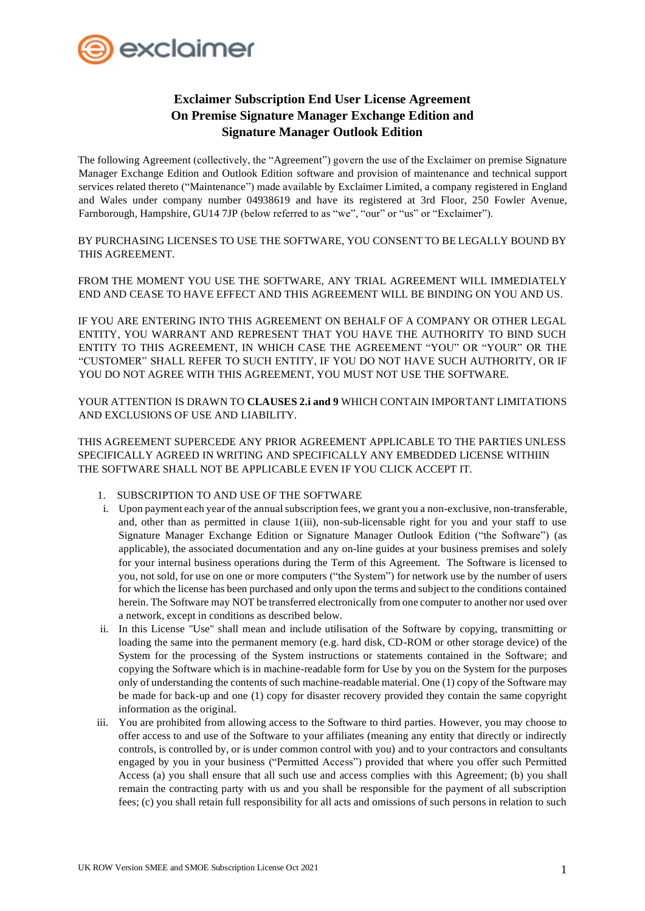

# **Exclaimer Subscription End User License Agreement On Premise Signature Manager Exchange Edition and Signature Manager Outlook Edition**

The following Agreement (collectively, the "Agreement") govern the use of the Exclaimer on premise Signature Manager Exchange Edition and Outlook Edition software and provision of maintenance and technical support services related thereto ("Maintenance") made available by Exclaimer Limited, a company registered in England and Wales under company number 04938619 and have its registered at 3rd Floor, 250 Fowler Avenue, Farnborough, Hampshire, GU14 7JP (below referred to as "we", "our" or "us" or "Exclaimer").

BY PURCHASING LICENSES TO USE THE SOFTWARE, YOU CONSENT TO BE LEGALLY BOUND BY THIS AGREEMENT.

FROM THE MOMENT YOU USE THE SOFTWARE, ANY TRIAL AGREEMENT WILL IMMEDIATELY END AND CEASE TO HAVE EFFECT AND THIS AGREEMENT WILL BE BINDING ON YOU AND US.

IF YOU ARE ENTERING INTO THIS AGREEMENT ON BEHALF OF A COMPANY OR OTHER LEGAL ENTITY, YOU WARRANT AND REPRESENT THAT YOU HAVE THE AUTHORITY TO BIND SUCH ENTITY TO THIS AGREEMENT, IN WHICH CASE THE AGREEMENT "YOU" OR "YOUR" OR THE "CUSTOMER" SHALL REFER TO SUCH ENTITY, IF YOU DO NOT HAVE SUCH AUTHORITY, OR IF YOU DO NOT AGREE WITH THIS AGREEMENT, YOU MUST NOT USE THE SOFTWARE.

YOUR ATTENTION IS DRAWN TO **CLAUSES 2.i and 9** WHICH CONTAIN IMPORTANT LIMITATIONS AND EXCLUSIONS OF USE AND LIABILITY.

THIS AGREEMENT SUPERCEDE ANY PRIOR AGREEMENT APPLICABLE TO THE PARTIES UNLESS SPECIFICALLY AGREED IN WRITING AND SPECIFICALLY ANY EMBEDDED LICENSE WITHIIN THE SOFTWARE SHALL NOT BE APPLICABLE EVEN IF YOU CLICK ACCEPT IT.

- 1. SUBSCRIPTION TO AND USE OF THE SOFTWARE
- i. Upon payment each year of the annual subscription fees, we grant you a non-exclusive, non-transferable, and, other than as permitted in clause 1(iii), non-sub-licensable right for you and your staff to use Signature Manager Exchange Edition or Signature Manager Outlook Edition ("the Software") (as applicable), the associated documentation and any on-line guides at your business premises and solely for your internal business operations during the Term of this Agreement. The Software is licensed to you, not sold, for use on one or more computers ("the System") for network use by the number of users for which the license has been purchased and only upon the terms and subject to the conditions contained herein. The Software may NOT be transferred electronically from one computer to another nor used over a network, except in conditions as described below.
- ii. In this License "Use" shall mean and include utilisation of the Software by copying, transmitting or loading the same into the permanent memory (e.g. hard disk, CD-ROM or other storage device) of the System for the processing of the System instructions or statements contained in the Software; and copying the Software which is in machine-readable form for Use by you on the System for the purposes only of understanding the contents of such machine-readable material. One (1) copy of the Software may be made for back-up and one (1) copy for disaster recovery provided they contain the same copyright information as the original.
- iii. You are prohibited from allowing access to the Software to third parties. However, you may choose to offer access to and use of the Software to your affiliates (meaning any entity that directly or indirectly controls, is controlled by, or is under common control with you) and to your contractors and consultants engaged by you in your business ("Permitted Access") provided that where you offer such Permitted Access (a) you shall ensure that all such use and access complies with this Agreement; (b) you shall remain the contracting party with us and you shall be responsible for the payment of all subscription fees; (c) you shall retain full responsibility for all acts and omissions of such persons in relation to such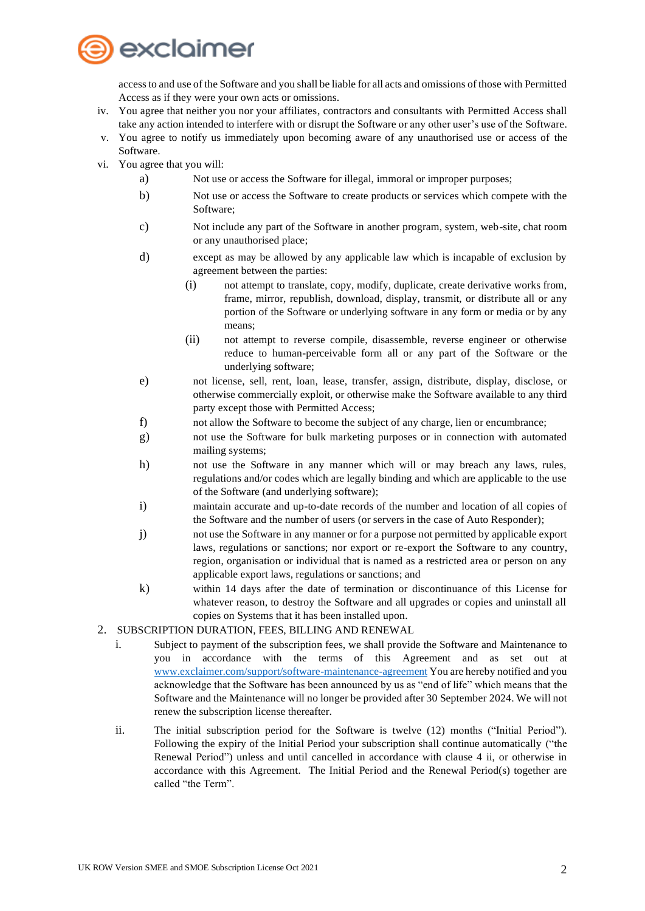

access to and use of the Software and you shall be liable for all acts and omissions of those with Permitted Access as if they were your own acts or omissions.

- iv. You agree that neither you nor your affiliates, contractors and consultants with Permitted Access shall take any action intended to interfere with or disrupt the Software or any other user's use of the Software.
- v. You agree to notify us immediately upon becoming aware of any unauthorised use or access of the Software.
- vi. You agree that you will:
	- a) Not use or access the Software for illegal, immoral or improper purposes;
	- b) Not use or access the Software to create products or services which compete with the Software;
	- c) Not include any part of the Software in another program, system, web-site, chat room or any unauthorised place;
	- d) except as may be allowed by any applicable law which is incapable of exclusion by agreement between the parties:
		- (i) not attempt to translate, copy, modify, duplicate, create derivative works from, frame, mirror, republish, download, display, transmit, or distribute all or any portion of the Software or underlying software in any form or media or by any means;
		- (ii) not attempt to reverse compile, disassemble, reverse engineer or otherwise reduce to human-perceivable form all or any part of the Software or the underlying software;
	- e) not license, sell, rent, loan, lease, transfer, assign, distribute, display, disclose, or otherwise commercially exploit, or otherwise make the Software available to any third party except those with Permitted Access;
	- f) not allow the Software to become the subject of any charge, lien or encumbrance;
	- g) not use the Software for bulk marketing purposes or in connection with automated mailing systems;
	- h) not use the Software in any manner which will or may breach any laws, rules, regulations and/or codes which are legally binding and which are applicable to the use of the Software (and underlying software);
	- i) maintain accurate and up-to-date records of the number and location of all copies of the Software and the number of users (or servers in the case of Auto Responder);
	- j) not use the Software in any manner or for a purpose not permitted by applicable export laws, regulations or sanctions; nor export or re-export the Software to any country, region, organisation or individual that is named as a restricted area or person on any applicable export laws, regulations or sanctions; and
	- k) within 14 days after the date of termination or discontinuance of this License for whatever reason, to destroy the Software and all upgrades or copies and uninstall all copies on Systems that it has been installed upon.
- 2. SUBSCRIPTION DURATION, FEES, BILLING AND RENEWAL
	- i. Subject to payment of the subscription fees, we shall provide the Software and Maintenance to you in accordance with the terms of this Agreement and as set out at [www.exclaimer.com/support/software-maintenance-agreement](http://www.exclaimer.com/support/software-maintenance-agreement) You are hereby notified and you acknowledge that the Software has been announced by us as "end of life" which means that the Software and the Maintenance will no longer be provided after 30 September 2024. We will not renew the subscription license thereafter.
	- ii. The initial subscription period for the Software is twelve (12) months ("Initial Period"). Following the expiry of the Initial Period your subscription shall continue automatically ("the Renewal Period") unless and until cancelled in accordance with clause 4 ii, or otherwise in accordance with this Agreement. The Initial Period and the Renewal Period(s) together are called "the Term".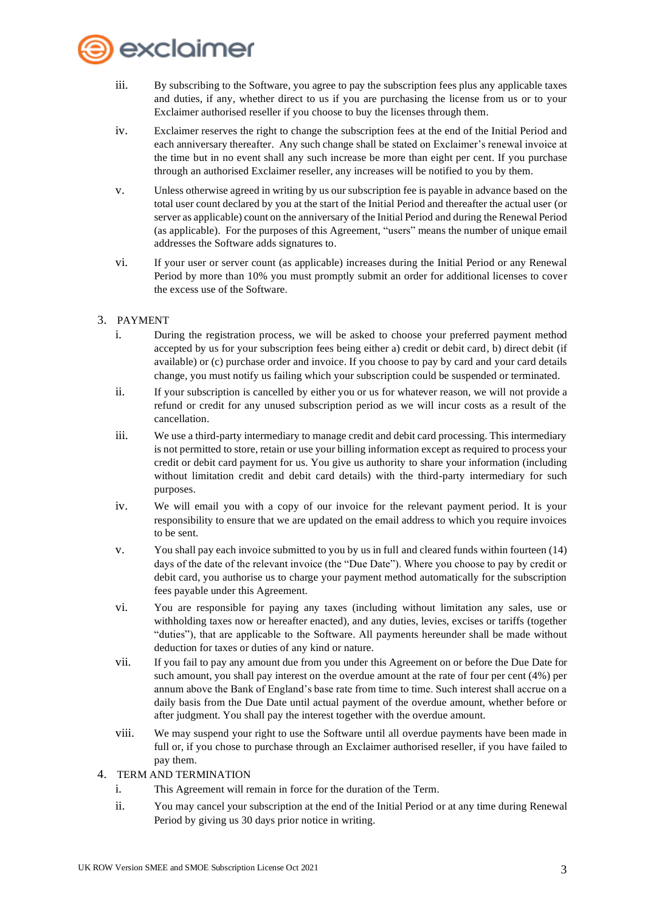

- iii. By subscribing to the Software, you agree to pay the subscription fees plus any applicable taxes and duties, if any, whether direct to us if you are purchasing the license from us or to your Exclaimer authorised reseller if you choose to buy the licenses through them.
- iv. Exclaimer reserves the right to change the subscription fees at the end of the Initial Period and each anniversary thereafter. Any such change shall be stated on Exclaimer's renewal invoice at the time but in no event shall any such increase be more than eight per cent. If you purchase through an authorised Exclaimer reseller, any increases will be notified to you by them.
- v. Unless otherwise agreed in writing by us our subscription fee is payable in advance based on the total user count declared by you at the start of the Initial Period and thereafter the actual user (or server as applicable) count on the anniversary of the Initial Period and during the Renewal Period (as applicable). For the purposes of this Agreement, "users" means the number of unique email addresses the Software adds signatures to.
- vi. If your user or server count (as applicable) increases during the Initial Period or any Renewal Period by more than 10% you must promptly submit an order for additional licenses to cover the excess use of the Software.
- 3. PAYMENT
	- i. During the registration process, we will be asked to choose your preferred payment method accepted by us for your subscription fees being either a) credit or debit card, b) direct debit (if available) or (c) purchase order and invoice. If you choose to pay by card and your card details change, you must notify us failing which your subscription could be suspended or terminated.
	- ii. If your subscription is cancelled by either you or us for whatever reason, we will not provide a refund or credit for any unused subscription period as we will incur costs as a result of the cancellation.
	- iii. We use a third-party intermediary to manage credit and debit card processing. This intermediary is not permitted to store, retain or use your billing information except as required to process your credit or debit card payment for us. You give us authority to share your information (including without limitation credit and debit card details) with the third-party intermediary for such purposes.
	- iv. We will email you with a copy of our invoice for the relevant payment period. It is your responsibility to ensure that we are updated on the email address to which you require invoices to be sent.
	- v. You shall pay each invoice submitted to you by us in full and cleared funds within fourteen (14) days of the date of the relevant invoice (the "Due Date"). Where you choose to pay by credit or debit card, you authorise us to charge your payment method automatically for the subscription fees payable under this Agreement.
	- vi. You are responsible for paying any taxes (including without limitation any sales, use or withholding taxes now or hereafter enacted), and any duties, levies, excises or tariffs (together "duties"), that are applicable to the Software. All payments hereunder shall be made without deduction for taxes or duties of any kind or nature.
	- vii. If you fail to pay any amount due from you under this Agreement on or before the Due Date for such amount, you shall pay interest on the overdue amount at the rate of four per cent (4%) per annum above the Bank of England's base rate from time to time. Such interest shall accrue on a daily basis from the Due Date until actual payment of the overdue amount, whether before or after judgment. You shall pay the interest together with the overdue amount.
	- viii. We may suspend your right to use the Software until all overdue payments have been made in full or, if you chose to purchase through an Exclaimer authorised reseller, if you have failed to pay them.
- 4. TERM AND TERMINATION
	- i. This Agreement will remain in force for the duration of the Term.
	- ii. You may cancel your subscription at the end of the Initial Period or at any time during Renewal Period by giving us 30 days prior notice in writing.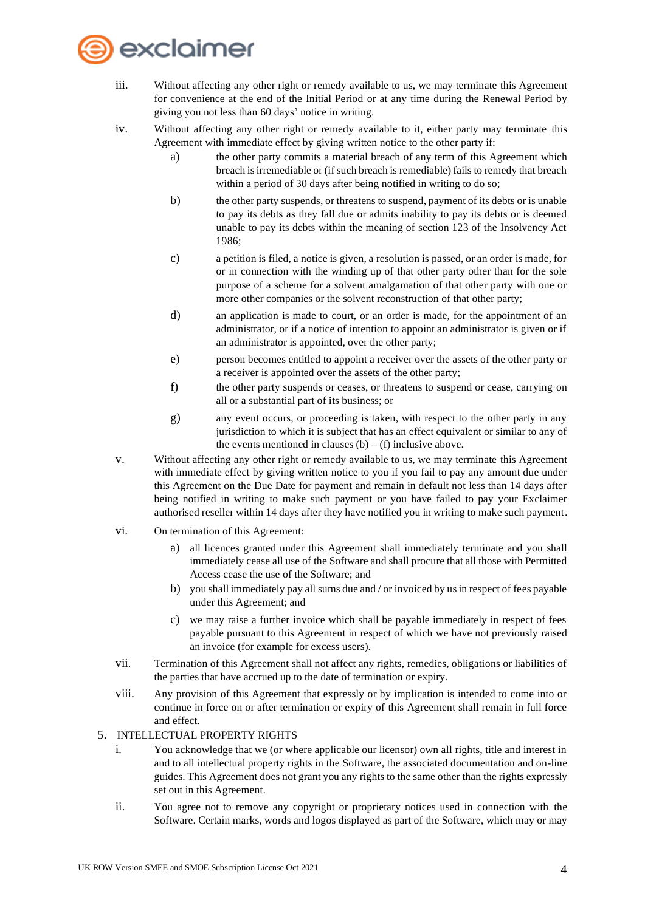

- iii. Without affecting any other right or remedy available to us, we may terminate this Agreement for convenience at the end of the Initial Period or at any time during the Renewal Period by giving you not less than 60 days' notice in writing.
- iv. Without affecting any other right or remedy available to it, either party may terminate this Agreement with immediate effect by giving written notice to the other party if:
	- a) the other party commits a material breach of any term of this Agreement which breach is irremediable or (if such breach is remediable) fails to remedy that breach within a period of 30 days after being notified in writing to do so;
	- b) the other party suspends, or threatens to suspend, payment of its debts or is unable to pay its debts as they fall due or admits inability to pay its debts or is deemed unable to pay its debts within the meaning of section 123 of the Insolvency Act 1986;
	- c) a petition is filed, a notice is given, a resolution is passed, or an order is made, for or in connection with the winding up of that other party other than for the sole purpose of a scheme for a solvent amalgamation of that other party with one or more other companies or the solvent reconstruction of that other party;
	- d) an application is made to court, or an order is made, for the appointment of an administrator, or if a notice of intention to appoint an administrator is given or if an administrator is appointed, over the other party;
	- e) person becomes entitled to appoint a receiver over the assets of the other party or a receiver is appointed over the assets of the other party;
	- f) the other party suspends or ceases, or threatens to suspend or cease, carrying on all or a substantial part of its business; or
	- g) any event occurs, or proceeding is taken, with respect to the other party in any jurisdiction to which it is subject that has an effect equivalent or similar to any of the events mentioned in clauses  $(b) - (f)$  inclusive above.
- v. Without affecting any other right or remedy available to us, we may terminate this Agreement with immediate effect by giving written notice to you if you fail to pay any amount due under this Agreement on the Due Date for payment and remain in default not less than 14 days after being notified in writing to make such payment or you have failed to pay your Exclaimer authorised reseller within 14 days after they have notified you in writing to make such payment.
- vi. On termination of this Agreement:
	- a) all licences granted under this Agreement shall immediately terminate and you shall immediately cease all use of the Software and shall procure that all those with Permitted Access cease the use of the Software; and
	- b) you shall immediately pay all sums due and / or invoiced by us in respect of fees payable under this Agreement; and
	- c) we may raise a further invoice which shall be payable immediately in respect of fees payable pursuant to this Agreement in respect of which we have not previously raised an invoice (for example for excess users).
- vii. Termination of this Agreement shall not affect any rights, remedies, obligations or liabilities of the parties that have accrued up to the date of termination or expiry.
- viii. Any provision of this Agreement that expressly or by implication is intended to come into or continue in force on or after termination or expiry of this Agreement shall remain in full force and effect.

# 5. INTELLECTUAL PROPERTY RIGHTS

- i. You acknowledge that we (or where applicable our licensor) own all rights, title and interest in and to all intellectual property rights in the Software, the associated documentation and on-line guides. This Agreement does not grant you any rights to the same other than the rights expressly set out in this Agreement.
- ii. You agree not to remove any copyright or proprietary notices used in connection with the Software. Certain marks, words and logos displayed as part of the Software, which may or may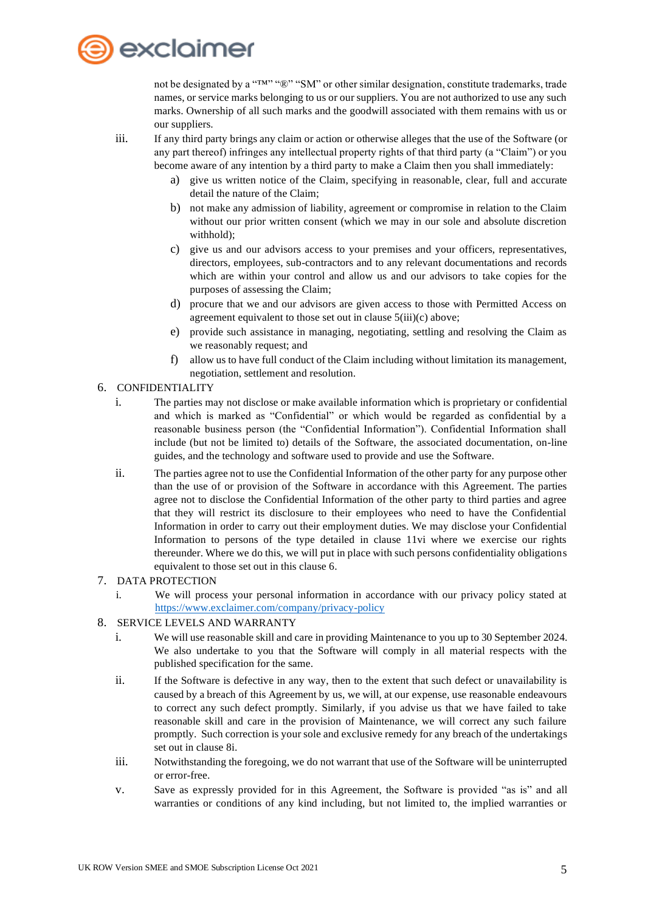

not be designated by a "™" "®" "SM" or other similar designation, constitute trademarks, trade names, or service marks belonging to us or our suppliers. You are not authorized to use any such marks. Ownership of all such marks and the goodwill associated with them remains with us or our suppliers.

iii. If any third party brings any claim or action or otherwise alleges that the use of the Software (or any part thereof) infringes any intellectual property rights of that third party (a "Claim") or you become aware of any intention by a third party to make a Claim then you shall immediately:

- a) give us written notice of the Claim, specifying in reasonable, clear, full and accurate detail the nature of the Claim;
- b) not make any admission of liability, agreement or compromise in relation to the Claim without our prior written consent (which we may in our sole and absolute discretion withhold);
- c) give us and our advisors access to your premises and your officers, representatives, directors, employees, sub-contractors and to any relevant documentations and records which are within your control and allow us and our advisors to take copies for the purposes of assessing the Claim;
- d) procure that we and our advisors are given access to those with Permitted Access on agreement equivalent to those set out in clause 5(iii)(c) above;
- e) provide such assistance in managing, negotiating, settling and resolving the Claim as we reasonably request; and
- f) allow us to have full conduct of the Claim including without limitation its management, negotiation, settlement and resolution.
- 6. CONFIDENTIALITY
	- i. The parties may not disclose or make available information which is proprietary or confidential and which is marked as "Confidential" or which would be regarded as confidential by a reasonable business person (the "Confidential Information"). Confidential Information shall include (but not be limited to) details of the Software, the associated documentation, on-line guides, and the technology and software used to provide and use the Software.
	- ii. The parties agree not to use the Confidential Information of the other party for any purpose other than the use of or provision of the Software in accordance with this Agreement. The parties agree not to disclose the Confidential Information of the other party to third parties and agree that they will restrict its disclosure to their employees who need to have the Confidential Information in order to carry out their employment duties. We may disclose your Confidential Information to persons of the type detailed in clause 11vi where we exercise our rights thereunder. Where we do this, we will put in place with such persons confidentiality obligations equivalent to those set out in this clause 6.

#### 7. DATA PROTECTION

i. We will process your personal information in accordance with our privacy policy stated at <https://www.exclaimer.com/company/privacy-policy>

# 8. SERVICE LEVELS AND WARRANTY

- i. We will use reasonable skill and care in providing Maintenance to you up to 30 September 2024. We also undertake to you that the Software will comply in all material respects with the published specification for the same.
- ii. If the Software is defective in any way, then to the extent that such defect or unavailability is caused by a breach of this Agreement by us, we will, at our expense, use reasonable endeavours to correct any such defect promptly. Similarly, if you advise us that we have failed to take reasonable skill and care in the provision of Maintenance, we will correct any such failure promptly. Such correction is your sole and exclusive remedy for any breach of the undertakings set out in clause 8i.
- iii. Notwithstanding the foregoing, we do not warrant that use of the Software will be uninterrupted or error-free.
- v. Save as expressly provided for in this Agreement, the Software is provided "as is" and all warranties or conditions of any kind including, but not limited to, the implied warranties or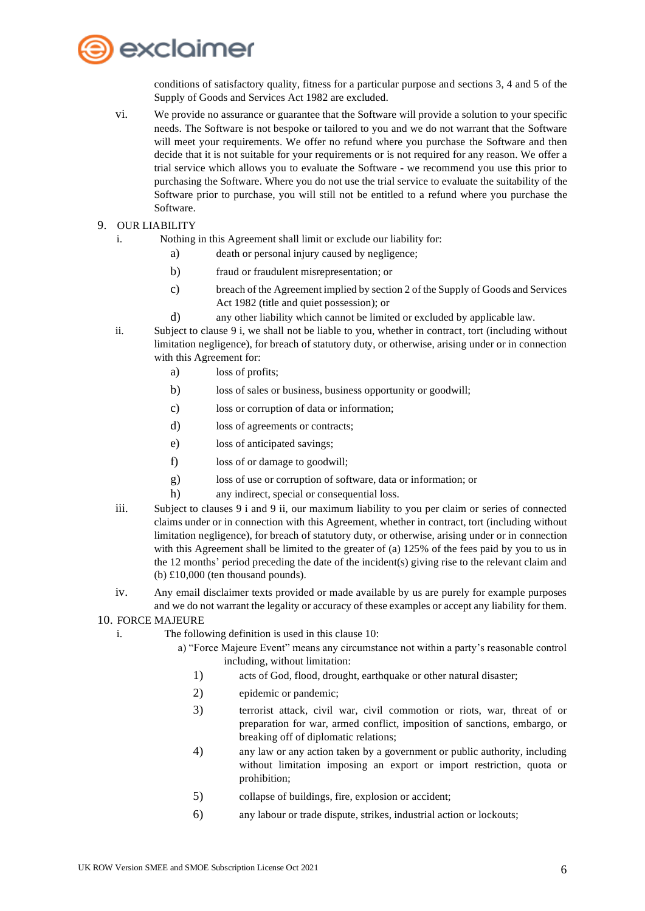

conditions of satisfactory quality, fitness for a particular purpose and sections 3, 4 and 5 of the Supply of Goods and Services Act 1982 are excluded.

- vi. We provide no assurance or guarantee that the Software will provide a solution to your specific needs. The Software is not bespoke or tailored to you and we do not warrant that the Software will meet your requirements. We offer no refund where you purchase the Software and then decide that it is not suitable for your requirements or is not required for any reason. We offer a trial service which allows you to evaluate the Software - we recommend you use this prior to purchasing the Software. Where you do not use the trial service to evaluate the suitability of the Software prior to purchase, you will still not be entitled to a refund where you purchase the Software.
- 9. OUR LIABILITY
	- i. Nothing in this Agreement shall limit or exclude our liability for:
		- a) death or personal injury caused by negligence;
		- b) fraud or fraudulent misrepresentation; or
		- c) breach of the Agreement implied by section 2 of the Supply of Goods and Services Act 1982 (title and quiet possession); or
		- d) any other liability which cannot be limited or excluded by applicable law.
	- ii. Subject to clause 9 i, we shall not be liable to you, whether in contract, tort (including without limitation negligence), for breach of statutory duty, or otherwise, arising under or in connection with this Agreement for:
		- a) loss of profits;
		- b) loss of sales or business, business opportunity or goodwill;
		- c) loss or corruption of data or information;
		- d) loss of agreements or contracts;
		- e) loss of anticipated savings;
		- f) loss of or damage to goodwill;
		- g) loss of use or corruption of software, data or information; or
		- h) any indirect, special or consequential loss.
	- iii. Subject to clauses 9 i and 9 ii, our maximum liability to you per claim or series of connected claims under or in connection with this Agreement, whether in contract, tort (including without limitation negligence), for breach of statutory duty, or otherwise, arising under or in connection with this Agreement shall be limited to the greater of (a) 125% of the fees paid by you to us in the 12 months' period preceding the date of the incident(s) giving rise to the relevant claim and (b) £10,000 (ten thousand pounds).
	- iv. Any email disclaimer texts provided or made available by us are purely for example purposes and we do not warrant the legality or accuracy of these examples or accept any liability for them.

### 10. FORCE MAJEURE

- i. The following definition is used in this clause 10:
	- a) "Force Majeure Event" means any circumstance not within a party's reasonable control including, without limitation:
		- 1) acts of God, flood, drought, earthquake or other natural disaster;
		- 2) epidemic or pandemic;
		- 3) terrorist attack, civil war, civil commotion or riots, war, threat of or preparation for war, armed conflict, imposition of sanctions, embargo, or breaking off of diplomatic relations;
		- 4) any law or any action taken by a government or public authority, including without limitation imposing an export or import restriction, quota or prohibition;
		- 5) collapse of buildings, fire, explosion or accident;
		- 6) any labour or trade dispute, strikes, industrial action or lockouts;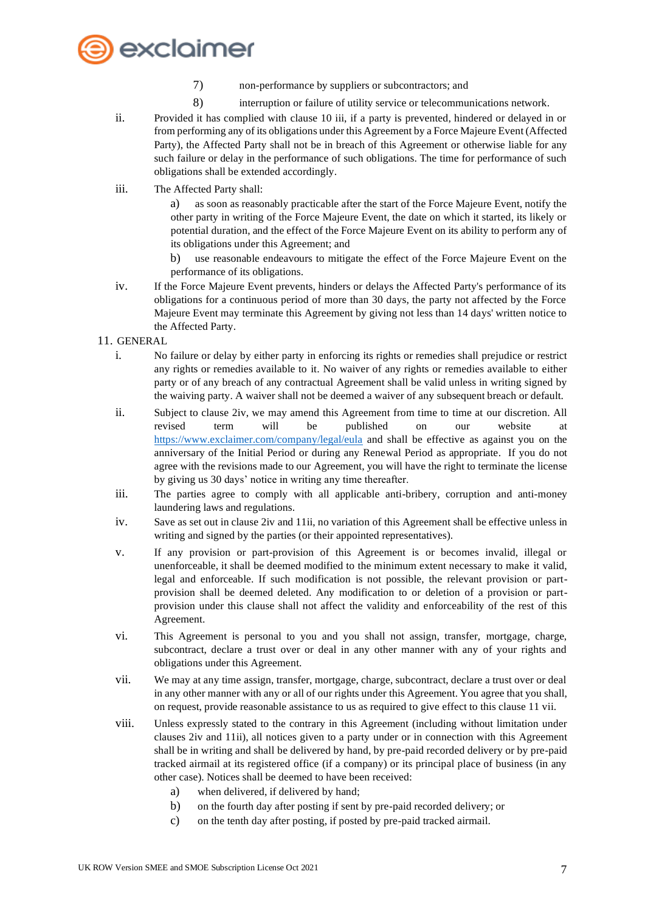

- 7) non-performance by suppliers or subcontractors; and
- 8) interruption or failure of utility service or telecommunications network.
- ii. Provided it has complied with clause 10 iii, if a party is prevented, hindered or delayed in or from performing any of its obligations under this Agreement by a Force Majeure Event (Affected Party), the Affected Party shall not be in breach of this Agreement or otherwise liable for any such failure or delay in the performance of such obligations. The time for performance of such obligations shall be extended accordingly.
- iii. The Affected Party shall:

a) as soon as reasonably practicable after the start of the Force Majeure Event, notify the other party in writing of the Force Majeure Event, the date on which it started, its likely or potential duration, and the effect of the Force Majeure Event on its ability to perform any of its obligations under this Agreement; and

- b) use reasonable endeavours to mitigate the effect of the Force Majeure Event on the performance of its obligations.
- iv. If the Force Majeure Event prevents, hinders or delays the Affected Party's performance of its obligations for a continuous period of more than 30 days, the party not affected by the Force Majeure Event may terminate this Agreement by giving not less than 14 days' written notice to the Affected Party.

#### 11. GENERAL

- i. No failure or delay by either party in enforcing its rights or remedies shall prejudice or restrict any rights or remedies available to it. No waiver of any rights or remedies available to either party or of any breach of any contractual Agreement shall be valid unless in writing signed by the waiving party. A waiver shall not be deemed a waiver of any subsequent breach or default.
- ii. Subject to clause 2iv, we may amend this Agreement from time to time at our discretion. All revised term will be published on our website at <https://www.exclaimer.com/company/legal/eula> and shall be effective as against you on the anniversary of the Initial Period or during any Renewal Period as appropriate. If you do not agree with the revisions made to our Agreement, you will have the right to terminate the license by giving us 30 days' notice in writing any time thereafter.
- iii. The parties agree to comply with all applicable anti-bribery, corruption and anti-money laundering laws and regulations.
- iv. Save as set out in clause 2iv and 11ii, no variation of this Agreement shall be effective unless in writing and signed by the parties (or their appointed representatives).
- v. If any provision or part-provision of this Agreement is or becomes invalid, illegal or unenforceable, it shall be deemed modified to the minimum extent necessary to make it valid, legal and enforceable. If such modification is not possible, the relevant provision or partprovision shall be deemed deleted. Any modification to or deletion of a provision or partprovision under this clause shall not affect the validity and enforceability of the rest of this Agreement.
- vi. This Agreement is personal to you and you shall not assign, transfer, mortgage, charge, subcontract, declare a trust over or deal in any other manner with any of your rights and obligations under this Agreement.
- vii. We may at any time assign, transfer, mortgage, charge, subcontract, declare a trust over or deal in any other manner with any or all of our rights under this Agreement. You agree that you shall, on request, provide reasonable assistance to us as required to give effect to this clause 11 vii.
- viii. Unless expressly stated to the contrary in this Agreement (including without limitation under clauses 2iv and 11ii), all notices given to a party under or in connection with this Agreement shall be in writing and shall be delivered by hand, by pre-paid recorded delivery or by pre-paid tracked airmail at its registered office (if a company) or its principal place of business (in any other case). Notices shall be deemed to have been received:
	- a) when delivered, if delivered by hand;
	- b) on the fourth day after posting if sent by pre-paid recorded delivery; or
	- c) on the tenth day after posting, if posted by pre-paid tracked airmail.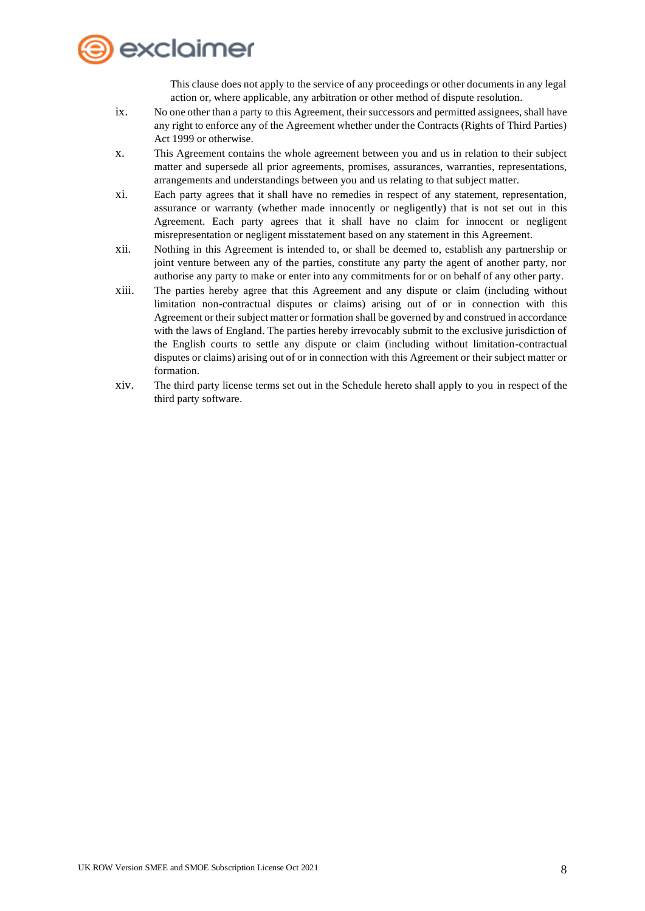

This clause does not apply to the service of any proceedings or other documents in any legal action or, where applicable, any arbitration or other method of dispute resolution.

- ix. No one other than a party to this Agreement, their successors and permitted assignees, shall have any right to enforce any of the Agreement whether under the Contracts (Rights of Third Parties) Act 1999 or otherwise.
- x. This Agreement contains the whole agreement between you and us in relation to their subject matter and supersede all prior agreements, promises, assurances, warranties, representations, arrangements and understandings between you and us relating to that subject matter.
- xi. Each party agrees that it shall have no remedies in respect of any statement, representation, assurance or warranty (whether made innocently or negligently) that is not set out in this Agreement. Each party agrees that it shall have no claim for innocent or negligent misrepresentation or negligent misstatement based on any statement in this Agreement.
- xii. Nothing in this Agreement is intended to, or shall be deemed to, establish any partnership or joint venture between any of the parties, constitute any party the agent of another party, nor authorise any party to make or enter into any commitments for or on behalf of any other party.
- xiii. The parties hereby agree that this Agreement and any dispute or claim (including without limitation non-contractual disputes or claims) arising out of or in connection with this Agreement or their subject matter or formation shall be governed by and construed in accordance with the laws of England. The parties hereby irrevocably submit to the exclusive jurisdiction of the English courts to settle any dispute or claim (including without limitation-contractual disputes or claims) arising out of or in connection with this Agreement or their subject matter or formation.
- xiv. The third party license terms set out in the Schedule hereto shall apply to you in respect of the third party software.